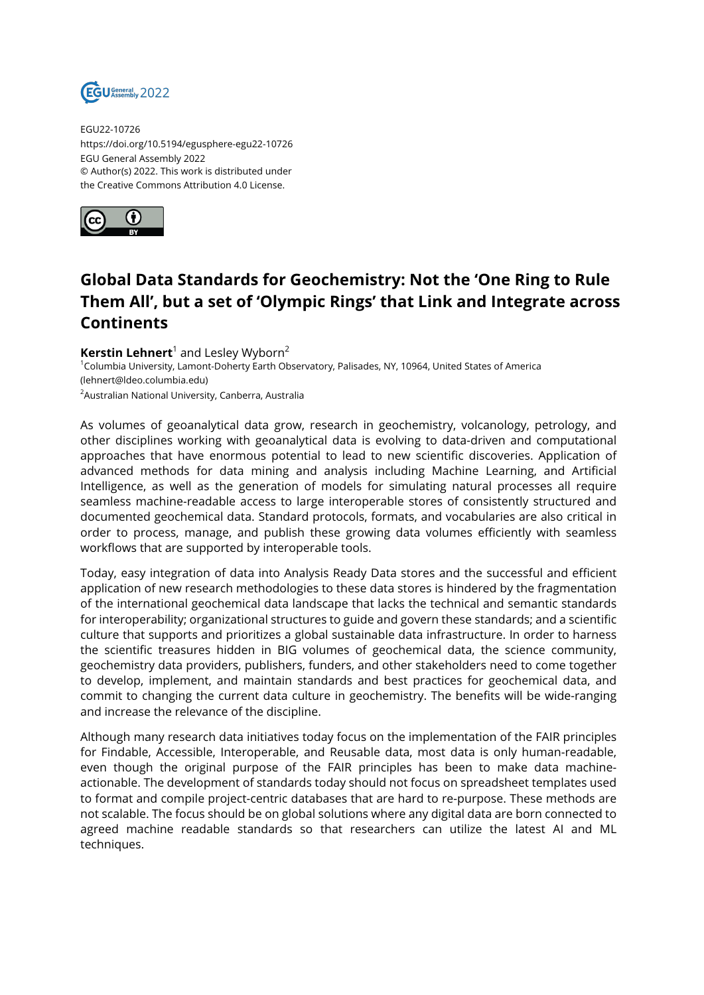

EGU22-10726 https://doi.org/10.5194/egusphere-egu22-10726 EGU General Assembly 2022 © Author(s) 2022. This work is distributed under the Creative Commons Attribution 4.0 License.



## **Global Data Standards for Geochemistry: Not the 'One Ring to Rule Them All', but a set of 'Olympic Rings' that Link and Integrate across Continents**

**Kerstin Lehnert**<sup>1</sup> and Lesley Wyborn<sup>2</sup> <sup>1</sup>Columbia University, Lamont-Doherty Earth Observatory, Palisades, NY, 10964, United States of America (lehnert@ldeo.columbia.edu) <sup>2</sup>Australian National University, Canberra, Australia

As volumes of geoanalytical data grow, research in geochemistry, volcanology, petrology, and other disciplines working with geoanalytical data is evolving to data-driven and computational approaches that have enormous potential to lead to new scientific discoveries. Application of advanced methods for data mining and analysis including Machine Learning, and Artificial Intelligence, as well as the generation of models for simulating natural processes all require seamless machine-readable access to large interoperable stores of consistently structured and documented geochemical data. Standard protocols, formats, and vocabularies are also critical in order to process, manage, and publish these growing data volumes efficiently with seamless workflows that are supported by interoperable tools.

Today, easy integration of data into Analysis Ready Data stores and the successful and efficient application of new research methodologies to these data stores is hindered by the fragmentation of the international geochemical data landscape that lacks the technical and semantic standards for interoperability; organizational structures to guide and govern these standards; and a scientific culture that supports and prioritizes a global sustainable data infrastructure. In order to harness the scientific treasures hidden in BIG volumes of geochemical data, the science community, geochemistry data providers, publishers, funders, and other stakeholders need to come together to develop, implement, and maintain standards and best practices for geochemical data, and commit to changing the current data culture in geochemistry. The benefits will be wide-ranging and increase the relevance of the discipline.

Although many research data initiatives today focus on the implementation of the FAIR principles for Findable, Accessible, Interoperable, and Reusable data, most data is only human-readable, even though the original purpose of the FAIR principles has been to make data machineactionable. The development of standards today should not focus on spreadsheet templates used to format and compile project-centric databases that are hard to re-purpose. These methods are not scalable. The focus should be on global solutions where any digital data are born connected to agreed machine readable standards so that researchers can utilize the latest AI and ML techniques.